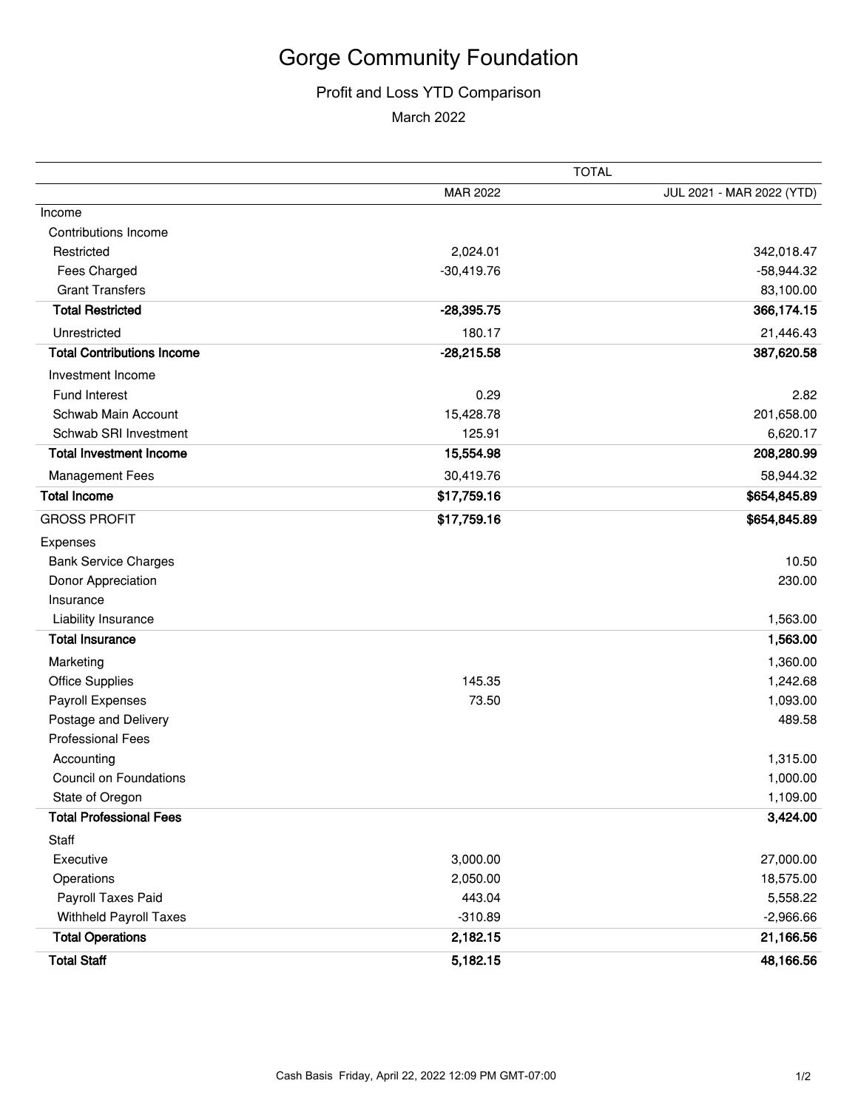## Gorge Community Foundation

## Profit and Loss YTD Comparison

March 2022

|                                   | <b>TOTAL</b> |                           |
|-----------------------------------|--------------|---------------------------|
|                                   | MAR 2022     | JUL 2021 - MAR 2022 (YTD) |
| Income                            |              |                           |
| Contributions Income              |              |                           |
| Restricted                        | 2,024.01     | 342,018.47                |
| Fees Charged                      | $-30,419.76$ | $-58,944.32$              |
| <b>Grant Transfers</b>            |              | 83,100.00                 |
| <b>Total Restricted</b>           | $-28,395.75$ | 366,174.15                |
| Unrestricted                      | 180.17       | 21,446.43                 |
| <b>Total Contributions Income</b> | $-28,215.58$ | 387,620.58                |
| Investment Income                 |              |                           |
| Fund Interest                     | 0.29         | 2.82                      |
| Schwab Main Account               | 15,428.78    | 201,658.00                |
| Schwab SRI Investment             | 125.91       | 6,620.17                  |
| <b>Total Investment Income</b>    | 15,554.98    | 208,280.99                |
| <b>Management Fees</b>            | 30,419.76    | 58,944.32                 |
| <b>Total Income</b>               | \$17,759.16  | \$654,845.89              |
| <b>GROSS PROFIT</b>               | \$17,759.16  | \$654,845.89              |
| Expenses                          |              |                           |
| <b>Bank Service Charges</b>       |              | 10.50                     |
| Donor Appreciation                |              | 230.00                    |
| Insurance                         |              |                           |
| Liability Insurance               |              | 1,563.00                  |
| <b>Total Insurance</b>            |              | 1,563.00                  |
| Marketing                         |              | 1,360.00                  |
| <b>Office Supplies</b>            | 145.35       | 1,242.68                  |
| Payroll Expenses                  | 73.50        | 1,093.00                  |
| Postage and Delivery              |              | 489.58                    |
| <b>Professional Fees</b>          |              |                           |
| Accounting                        |              | 1,315.00                  |
| <b>Council on Foundations</b>     |              | 1,000.00                  |
| State of Oregon                   |              | 1,109.00                  |
| <b>Total Professional Fees</b>    |              | 3,424.00                  |
| Staff                             |              |                           |
| Executive                         | 3,000.00     | 27,000.00                 |
| Operations                        | 2,050.00     | 18,575.00                 |
| Payroll Taxes Paid                | 443.04       | 5,558.22                  |
| Withheld Payroll Taxes            | $-310.89$    | $-2,966.66$               |
| <b>Total Operations</b>           | 2,182.15     | 21,166.56                 |
| <b>Total Staff</b>                | 5,182.15     | 48,166.56                 |